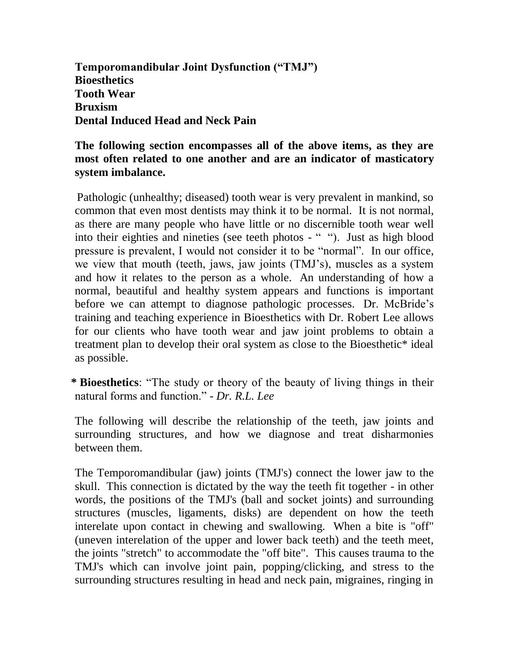**Temporomandibular Joint Dysfunction ("TMJ") Bioesthetics Tooth Wear Bruxism Dental Induced Head and Neck Pain**

### **The following section encompasses all of the above items, as they are most often related to one another and are an indicator of masticatory system imbalance.**

Pathologic (unhealthy; diseased) tooth wear is very prevalent in mankind, so common that even most dentists may think it to be normal. It is not normal, as there are many people who have little or no discernible tooth wear well into their eighties and nineties (see teeth photos - " "). Just as high blood pressure is prevalent, I would not consider it to be "normal". In our office, we view that mouth (teeth, jaws, jaw joints (TMJ's), muscles as a system and how it relates to the person as a whole. An understanding of how a normal, beautiful and healthy system appears and functions is important before we can attempt to diagnose pathologic processes. Dr. McBride's training and teaching experience in Bioesthetics with Dr. Robert Lee allows for our clients who have tooth wear and jaw joint problems to obtain a treatment plan to develop their oral system as close to the Bioesthetic\* ideal as possible.

**\* Bioesthetics**: "The study or theory of the beauty of living things in their natural forms and function." - *Dr. R.L. Lee* 

The following will describe the relationship of the teeth, jaw joints and surrounding structures, and how we diagnose and treat disharmonies between them.

The Temporomandibular (jaw) joints (TMJ's) connect the lower jaw to the skull. This connection is dictated by the way the teeth fit together - in other words, the positions of the TMJ's (ball and socket joints) and surrounding structures (muscles, ligaments, disks) are dependent on how the teeth interelate upon contact in chewing and swallowing. When a bite is "off" (uneven interelation of the upper and lower back teeth) and the teeth meet, the joints "stretch" to accommodate the "off bite". This causes trauma to the TMJ's which can involve joint pain, popping/clicking, and stress to the surrounding structures resulting in head and neck pain, migraines, ringing in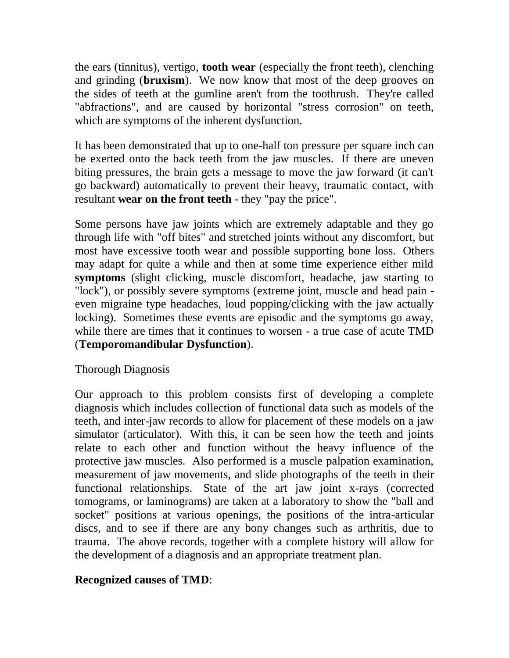the ears (tinnitus), vertigo, **tooth wear** (especially the front teeth), clenching and grinding (**bruxism**). We now know that most of the deep grooves on the sides of teeth at the gumline aren't from the toothrush. They're called "abfractions", and are caused by horizontal "stress corrosion" on teeth, which are symptoms of the inherent dysfunction.

It has been demonstrated that up to one-half ton pressure per square inch can be exerted onto the back teeth from the jaw muscles. If there are uneven biting pressures, the brain gets a message to move the jaw forward (it can't go backward) automatically to prevent their heavy, traumatic contact, with resultant **wear on the front teeth** - they "pay the price".

Some persons have jaw joints which are extremely adaptable and they go through life with "off bites" and stretched joints without any discomfort, but most have excessive tooth wear and possible supporting bone loss. Others may adapt for quite a while and then at some time experience either mild **symptoms** (slight clicking, muscle discomfort, headache, jaw starting to "lock"), or possibly severe symptoms (extreme joint, muscle and head pain even migraine type headaches, loud popping/clicking with the jaw actually locking). Sometimes these events are episodic and the symptoms go away, while there are times that it continues to worsen - a true case of acute TMD (**Temporomandibular Dysfunction**).

# Thorough Diagnosis

Our approach to this problem consists first of developing a complete diagnosis which includes collection of functional data such as models of the teeth, and inter-jaw records to allow for placement of these models on a jaw simulator (articulator). With this, it can be seen how the teeth and joints relate to each other and function without the heavy influence of the protective jaw muscles. Also performed is a muscle palpation examination, measurement of jaw movements, and slide photographs of the teeth in their functional relationships. State of the art jaw joint x-rays (corrected tomograms, or laminograms) are taken at a laboratory to show the "ball and socket" positions at various openings, the positions of the intra-articular discs, and to see if there are any bony changes such as arthritis, due to trauma. The above records, together with a complete history will allow for the development of a diagnosis and an appropriate treatment plan.

#### **Recognized causes of TMD**: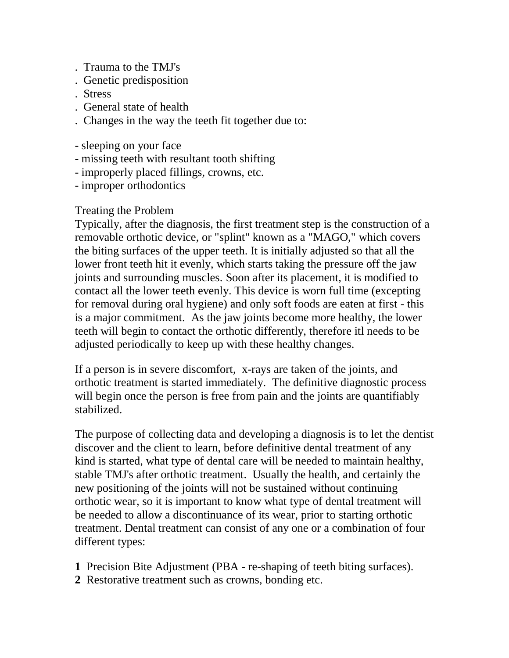- . Trauma to the TMJ's
- . Genetic predisposition
- . Stress
- . General state of health
- . Changes in the way the teeth fit together due to:
- sleeping on your face
- missing teeth with resultant tooth shifting
- improperly placed fillings, crowns, etc.
- improper orthodontics

# Treating the Problem

Typically, after the diagnosis, the first treatment step is the construction of a removable orthotic device, or "splint" known as a "MAGO," which covers the biting surfaces of the upper teeth. It is initially adjusted so that all the lower front teeth hit it evenly, which starts taking the pressure off the jaw joints and surrounding muscles. Soon after its placement, it is modified to contact all the lower teeth evenly. This device is worn full time (excepting for removal during oral hygiene) and only soft foods are eaten at first - this is a major commitment. As the jaw joints become more healthy, the lower teeth will begin to contact the orthotic differently, therefore itl needs to be adjusted periodically to keep up with these healthy changes.

If a person is in severe discomfort, x-rays are taken of the joints, and orthotic treatment is started immediately. The definitive diagnostic process will begin once the person is free from pain and the joints are quantifiably stabilized.

The purpose of collecting data and developing a diagnosis is to let the dentist discover and the client to learn, before definitive dental treatment of any kind is started, what type of dental care will be needed to maintain healthy, stable TMJ's after orthotic treatment. Usually the health, and certainly the new positioning of the joints will not be sustained without continuing orthotic wear, so it is important to know what type of dental treatment will be needed to allow a discontinuance of its wear, prior to starting orthotic treatment. Dental treatment can consist of any one or a combination of four different types:

- **1** Precision Bite Adjustment (PBA re-shaping of teeth biting surfaces).
- **2** Restorative treatment such as crowns, bonding etc.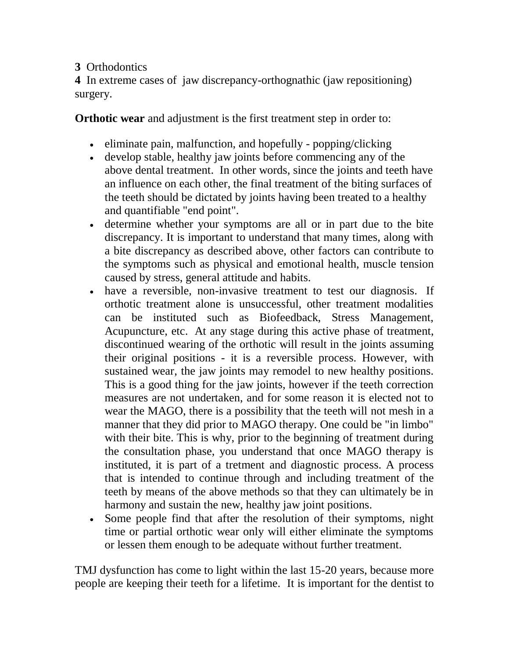## **3** Orthodontics

**4** In extreme cases of jaw discrepancy-orthognathic (jaw repositioning) surgery.

**Orthotic wear** and adjustment is the first treatment step in order to:

- eliminate pain, malfunction, and hopefully popping/clicking
- develop stable, healthy jaw joints before commencing any of the above dental treatment. In other words, since the joints and teeth have an influence on each other, the final treatment of the biting surfaces of the teeth should be dictated by joints having been treated to a healthy and quantifiable "end point".
- determine whether your symptoms are all or in part due to the bite discrepancy. It is important to understand that many times, along with a bite discrepancy as described above, other factors can contribute to the symptoms such as physical and emotional health, muscle tension caused by stress, general attitude and habits.
- have a reversible, non-invasive treatment to test our diagnosis. If orthotic treatment alone is unsuccessful, other treatment modalities can be instituted such as Biofeedback, Stress Management, Acupuncture, etc. At any stage during this active phase of treatment, discontinued wearing of the orthotic will result in the joints assuming their original positions - it is a reversible process. However, with sustained wear, the jaw joints may remodel to new healthy positions. This is a good thing for the jaw joints, however if the teeth correction measures are not undertaken, and for some reason it is elected not to wear the MAGO, there is a possibility that the teeth will not mesh in a manner that they did prior to MAGO therapy. One could be "in limbo" with their bite. This is why, prior to the beginning of treatment during the consultation phase, you understand that once MAGO therapy is instituted, it is part of a tretment and diagnostic process. A process that is intended to continue through and including treatment of the teeth by means of the above methods so that they can ultimately be in harmony and sustain the new, healthy jaw joint positions.
- Some people find that after the resolution of their symptoms, night time or partial orthotic wear only will either eliminate the symptoms or lessen them enough to be adequate without further treatment.

TMJ dysfunction has come to light within the last 15-20 years, because more people are keeping their teeth for a lifetime. It is important for the dentist to